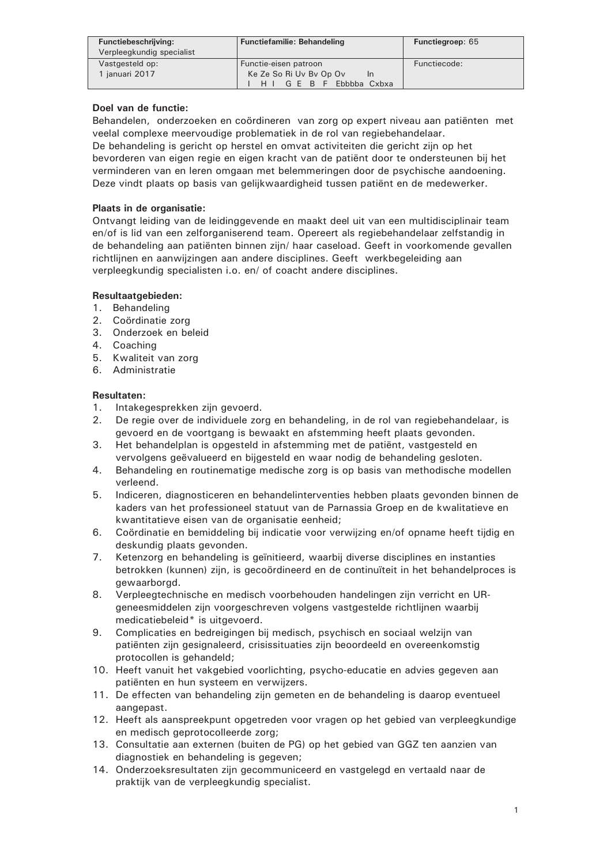| Functiebeschrijving:<br>Verpleegkundig specialist | <b>Functiefamilie: Behandeling</b>   | <b>Functiegroep: 65</b> |
|---------------------------------------------------|--------------------------------------|-------------------------|
| Vastgesteld op:                                   | Functie-eisen patroon                | Functiecode:            |
| 1 januari 2017                                    | Ke Ze So Ri Uv By Op Ov<br><b>In</b> |                         |
|                                                   | Ebbbba Cxbxa<br>H I G E B F          |                         |

# Doel van de functie:

Behandelen, onderzoeken en coördineren van zorg op expert niveau aan patiënten met veelal complexe meervoudige problematiek in de rol van regiebehandelaar.

De behandeling is gericht op herstel en omvat activiteiten die gericht zijn op het bevorderen van eigen regie en eigen kracht van de patiënt door te ondersteunen bij het verminderen van en leren omgaan met belemmeringen door de psychische aandoening. Deze vindt plaats op basis van gelijkwaardigheid tussen patiënt en de medewerker.

# Plaats in de organisatie:

Ontvangt leiding van de leidinggevende en maakt deel uit van een multidisciplinair team en/of is lid van een zelforganiserend team. Opereert als regiebehandelaar zelfstandig in de behandeling aan patiënten binnen zijn/ haar caseload. Geeft in voorkomende gevallen richtlijnen en aanwijzingen aan andere disciplines. Geeft werkbegeleiding aan verpleegkundig specialisten i.o. en/ of coacht andere disciplines.

# Resultaatgebieden:

- 1. Behandeling
- 2. Coördinatie zorg
- 3. Onderzoek en beleid
- 4. Coaching
- 5. Kwaliteit van zorg
- 6. Administratie

# **Resultaten:**

- Intakegesprekken zijn gevoerd.  $1.$
- De regie over de individuele zorg en behandeling, in de rol van regiebehandelaar, is  $2.$ gevoerd en de voortgang is bewaakt en afstemming heeft plaats gevonden.
- $3.$ Het behandelplan is opgesteld in afstemming met de patiënt, vastgesteld en vervolgens geëvalueerd en bijgesteld en waar nodig de behandeling gesloten.
- Behandeling en routinematige medische zorg is op basis van methodische modellen 4. verleend.
- 5. Indiceren, diagnosticeren en behandelinterventies hebben plaats gevonden binnen de kaders van het professioneel statuut van de Parnassia Groep en de kwalitatieve en kwantitatieve eisen van de organisatie eenheid;
- 6. Coördinatie en bemiddeling bij indicatie voor verwijzing en/of opname heeft tijdig en deskundig plaats gevonden.
- $7.$ Ketenzorg en behandeling is geïnitieerd, waarbij diverse disciplines en instanties betrokken (kunnen) zijn, is gecoördineerd en de continuïteit in het behandelproces is gewaarborgd.
- 8. Verpleegtechnische en medisch voorbehouden handelingen zijn verricht en URgeneesmiddelen zijn voorgeschreven volgens vastgestelde richtlijnen waarbij medicatiebeleid\* is uitgevoerd.
- 9. Complicaties en bedreigingen bij medisch, psychisch en sociaal welzijn van patiënten zijn gesignaleerd, crisissituaties zijn beoordeeld en overeenkomstig protocollen is gehandeld;
- 10. Heeft vanuit het vakgebied voorlichting, psycho-educatie en advies gegeven aan patiënten en hun systeem en verwijzers.
- 11. De effecten van behandeling zijn gemeten en de behandeling is daarop eventueel aangepast.
- 12. Heeft als aanspreekpunt opgetreden voor vragen op het gebied van verpleegkundige en medisch geprotocolleerde zorg;
- 13. Consultatie aan externen (buiten de PG) op het gebied van GGZ ten aanzien van diagnostiek en behandeling is gegeven;
- 14. Onderzoeksresultaten zijn gecommuniceerd en vastgelegd en vertaald naar de praktijk van de verpleegkundig specialist.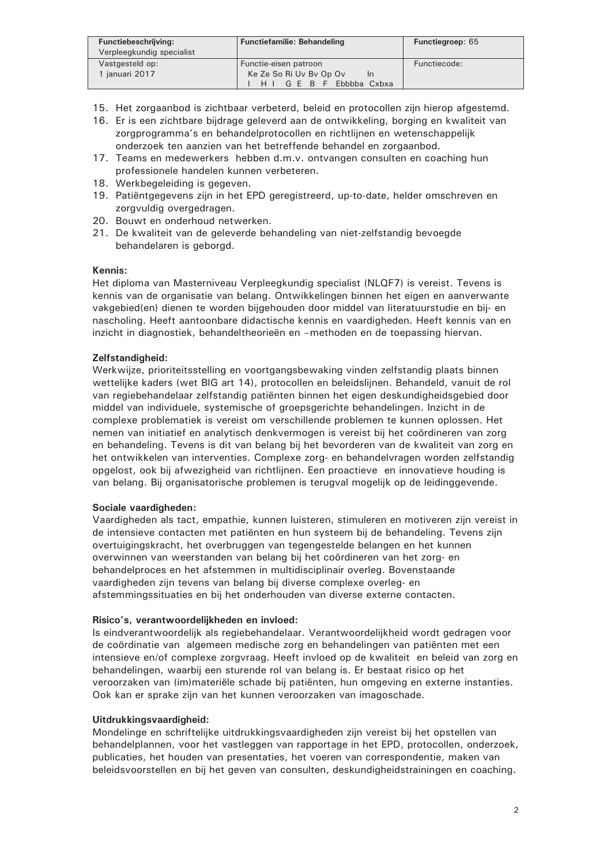| Functiebeschrijving:<br>Verpleegkundig specialist | <b>Functiefamilie: Behandeling</b>  | <b>Functiegroep: 65</b> |
|---------------------------------------------------|-------------------------------------|-------------------------|
| Vastgesteld op:                                   | Functie-eisen patroon               | Functiecode:            |
| 1 januari 2017                                    | Ke Ze So Ri Uv By Op Ov<br>In       |                         |
|                                                   | GFRF<br>Ebbbba Cxbxa<br>$H$ $\perp$ |                         |

- 15. Het zorgaanbod is zichtbaar verbeterd, beleid en protocollen zijn hierop afgestemd.
- 16. Er is een zichtbare bijdrage geleverd aan de ontwikkeling, borging en kwaliteit van zorgprogramma's en behandelprotocollen en richtlijnen en wetenschappelijk onderzoek ten aanzien van het betreffende behandel en zorgaanbod.
- 17. Teams en medewerkers hebben d.m.v. ontvangen consulten en coaching hun professionele handelen kunnen verbeteren.
- 18. Werkbegeleiding is gegeven.
- 19. Patiëntgegevens zijn in het EPD geregistreerd, up-to-date, helder omschreven en zorgvuldig overgedragen.
- 20. Bouwt en onderhoud netwerken.
- 21. De kwaliteit van de geleverde behandeling van niet-zelfstandig bevoegde behandelaren is geborgd.

### Kennis:

Het diploma van Masterniveau Verpleegkundig specialist (NLQF7) is vereist. Tevens is kennis van de organisatie van belang. Ontwikkelingen binnen het eigen en aanverwante vakgebied(en) dienen te worden bijgehouden door middel van literatuurstudie en bij- en nascholing. Heeft aantoonbare didactische kennis en vaardigheden. Heeft kennis van en inzicht in diagnostiek, behandeltheorieën en -methoden en de toepassing hiervan.

### Zelfstandigheid:

Werkwijze, prioriteitsstelling en voortgangsbewaking vinden zelfstandig plaats binnen wettelijke kaders (wet BIG art 14), protocollen en beleidslijnen. Behandeld, vanuit de rol van regiebehandelaar zelfstandig patiënten binnen het eigen deskundigheidsgebied door middel van individuele, systemische of groepsgerichte behandelingen. Inzicht in de complexe problematiek is vereist om verschillende problemen te kunnen oplossen. Het nemen van initiatief en analytisch denkvermogen is vereist bij het coördineren van zorg en behandeling. Tevens is dit van belang bij het bevorderen van de kwaliteit van zorg en het ontwikkelen van interventies. Complexe zorg- en behandelvragen worden zelfstandig opgelost, ook bij afwezigheid van richtlijnen. Een proactieve en innovatieve houding is van belang. Bij organisatorische problemen is terugval mogelijk op de leidinggevende.

#### Sociale vaardigheden:

Vaardigheden als tact, empathie, kunnen luisteren, stimuleren en motiveren zijn vereist in de intensieve contacten met patiënten en hun systeem bij de behandeling. Tevens zijn overtuigingskracht, het overbruggen van tegengestelde belangen en het kunnen overwinnen van weerstanden van belang bij het coördineren van het zorg- en behandelproces en het afstemmen in multidisciplinair overleg. Bovenstaande vaardigheden zijn tevens van belang bij diverse complexe overleg- en afstemmingssituaties en bij het onderhouden van diverse externe contacten.

# Risico's, verantwoordelijkheden en invloed:

Is eindverantwoordelijk als regiebehandelaar. Verantwoordelijkheid wordt gedragen voor de coördinatie van algemeen medische zorg en behandelingen van patiënten met een intensieve en/of complexe zorgvraag. Heeft invloed op de kwaliteit en beleid van zorg en behandelingen, waarbij een sturende rol van belang is. Er bestaat risico op het veroorzaken van (im)materiële schade bij patiënten, hun omgeving en externe instanties. Ook kan er sprake zijn van het kunnen veroorzaken van imagoschade.

#### Uitdrukkingsvaardigheid:

Mondelinge en schriftelijke uitdrukkingsvaardigheden zijn vereist bij het opstellen van behandelplannen, voor het vastleggen van rapportage in het EPD, protocollen, onderzoek, publicaties, het houden van presentaties, het voeren van correspondentie, maken van beleidsvoorstellen en bij het geven van consulten, deskundigheidstrainingen en coaching.